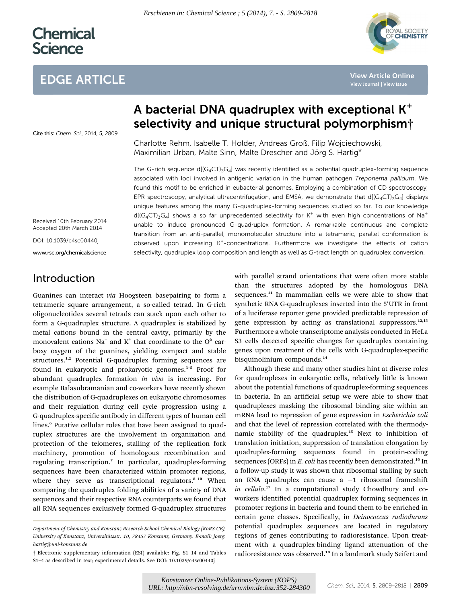# **Chemical Science**

## EDGE ARTICLE



**[View Article Online](http://dx.doi.org/10.1039/c4sc00440j)**

### Cite this: Chem. Sci., 2014, 5, 2809

## A bacterial DNA quadruplex with exceptional K+ selectivity and unique structural polymorphism†

Charlotte Rehm, Isabelle T. Holder, Andreas Groß, Filip Wojciechowski, Maximilian Urban, Malte Sinn, Malte Drescher and Jörg S. Hartig\*

The G-rich sequence  $d[(G_4CT)_3G_4]$  was recently identified as a potential quadruplex-forming sequence associated with loci involved in antigenic variation in the human pathogen Treponema pallidum. We found this motif to be enriched in eubacterial genomes. Employing a combination of CD spectroscopy, EPR spectroscopy, analytical ultracentrifugation, and EMSA, we demonstrate that  $d[(G_4CT)\cdot G_4]$  displays unique features among the many G-quadruplex-forming sequences studied so far. To our knowledge  $d[(G_4CT)_3G_4]$  shows a so far unprecedented selectivity for K<sup>+</sup> with even high concentrations of Na<sup>+</sup> unable to induce pronounced G-quadruplex formation. A remarkable continuous and complete transition from an anti-parallel, monomolecular structure into a tetrameric, parallel conformation is observed upon increasing K+-concentrations. Furthermore we investigate the effects of cation selectivity, quadruplex loop composition and length as well as G-tract length on quadruplex conversion.

Received 10th February 2014 Accepted 20th March 2014

DOI: 10.1039/c4sc00440j

www.rsc.org/chemicalscience

### Introduction

Guanines can interact via Hoogsteen basepairing to form a tetrameric square arrangement, a so-called tetrad. In G-rich oligonucleotides several tetrads can stack upon each other to form a G-quadruplex structure. A quadruplex is stabilized by metal cations bound in the central cavity, primarily by the monovalent cations Na<sup>+</sup> and K<sup>+</sup> that coordinate to the  $O<sup>6</sup>$  carboxy oxygen of the guanines, yielding compact and stable structures.<sup>1,2</sup> Potential G-quadruplex forming sequences are found in eukaryotic and prokaryotic genomes.<sup>3-5</sup> Proof for abundant quadruplex formation in vivo is increasing. For example Balasubramanian and co-workers have recently shown the distribution of G-quadruplexes on eukaryotic chromosomes and their regulation during cell cycle progression using a G-quadruplex-specific antibody in different types of human cell lines.<sup>6</sup> Putative cellular roles that have been assigned to quadruplex structures are the involvement in organization and protection of the telomeres, stalling of the replication fork machinery, promotion of homologous recombination and regulating transcription.<sup>7</sup> In particular, quadruplex-forming sequences have been characterized within promoter regions, where they serve as transcriptional regulators.<sup>8-10</sup> When comparing the quadruplex folding abilities of a variety of DNA sequences and their respective RNA counterparts we found that all RNA sequences exclusively formed G-quadruplex structures

with parallel strand orientations that were often more stable than the structures adopted by the homologous DNA sequences.<sup>11</sup> In mammalian cells we were able to show that synthetic RNA G-quadruplexes inserted into the 5'UTR in front of a luciferase reporter gene provided predictable repression of gene expression by acting as translational suppressors.<sup>12,13</sup> Furthermore a whole-transcriptome analysis conducted in HeLa S3 cells detected specific changes for quadruplex containing genes upon treatment of the cells with G-quadruplex-specific bisquinolinium compounds.<sup>14</sup>

Although these and many other studies hint at diverse roles for quadruplexes in eukaryotic cells, relatively little is known about the potential functions of quadruplex-forming sequences in bacteria. In an artificial setup we were able to show that quadruplexes masking the ribosomal binding site within an mRNA lead to repression of gene expression in Escherichia coli and that the level of repression correlated with the thermodynamic stability of the quadruplex.<sup>15</sup> Next to inhibition of translation initiation, suppression of translation elongation by quadruplex-forming sequences found in protein-coding sequences (ORFs) in E. coli has recently been demonstrated.<sup>16</sup> In a follow-up study it was shown that ribosomal stalling by such an RNA quadruplex can cause a -1 ribosomal frameshift in cellulo.<sup>17</sup> In a computational study Chowdhury and coworkers identified potential quadruplex forming sequences in promoter regions in bacteria and found them to be enriched in certain gene classes. Specifically, in Deinococcus radiodurans potential quadruplex sequences are located in regulatory regions of genes contributing to radioresistance. Upon treatment with a quadruplex-binding ligand attenuation of the radioresistance was observed.<sup>18</sup> In a landmark study Seifert and

Department of Chemistry and Konstanz Research School Chemical Biology (KoRS-CB), University of Konstanz, Universitätsstr. 10, 78457 Konstanz, Germany. E-mail: joerg. hartig@uni-konstanz.de

<sup>†</sup> Electronic supplementary information (ESI) available: Fig. S1–14 and Tables S1–4 as described in text; experimental details. See DOI: 10.1039/c4sc00440j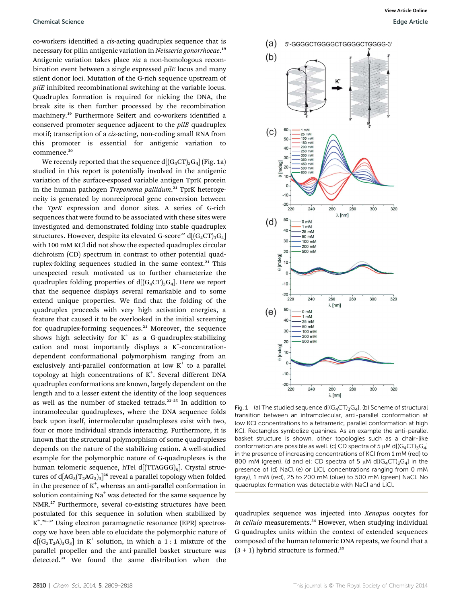co-workers identified a *cis*-acting quadruplex sequence that is necessary for pilin antigenic variation in *Neisseria gonorrhoeae*.19 Antigenic variation takes place via a non-homologous recombination event between a single expressed pilE locus and many silent donor loci. Mutation of the G-rich sequence upstream of pilE inhibited recombinational switching at the variable locus. Quadruplex formation is required for nicking the DNA, the break site is then further processed by the recombination machinery.<sup>19</sup> Furthermore Seifert and co-workers identified a conserved promoter sequence adjacent to the pilE quadruplex motif; transcription of a cis-acting, non-coding small RNA from this promoter is essential for antigenic variation to commence.<sup>20</sup>

We recently reported that the sequence  $d[(G_4CT)_3G_4]$  (Fig. 1a) studied in this report is potentially involved in the antigenic variation of the surface-exposed variable antigen TprK protein in the human pathogen Treponema pallidum.<sup>21</sup> TprK heterogeneity is generated by nonreciprocal gene conversion between the TprK expression and donor sites. A series of G-rich sequences that were found to be associated with these sites were investigated and demonstrated folding into stable quadruplex structures. However, despite its elevated G-score<sup>22</sup> d $[(G_4CT)_3G_4]$ with 100 mM KCl did not show the expected quadruplex circular dichroism (CD) spectrum in contrast to other potential quadruplex-folding sequences studied in the same context.<sup>21</sup> This unexpected result motivated us to further characterize the quadruplex folding properties of  $d[(G_4CT)_3G_4]$ . Here we report that the sequence displays several remarkable and to some extend unique properties. We find that the folding of the quadruplex proceeds with very high activation energies, a feature that caused it to be overlooked in the initial screening for quadruplex-forming sequences.<sup>21</sup> Moreover, the sequence shows high selectivity for  $K^+$  as a G-quadruplex-stabilizing cation and most importantly displays a  $K^+$ -concentrationdependent conformational polymorphism ranging from an exclusively anti-parallel conformation at low  $K^+$  to a parallel topology at high concentrations of  $K^+$ . Several different DNA quadruplex conformations are known, largely dependent on the length and to a lesser extent the identity of the loop sequences as well as the number of stacked tetrads.<sup>23</sup>–<sup>25</sup> In addition to intramolecular quadruplexes, where the DNA sequence folds back upon itself, intermolecular quadruplexes exist with two, four or more individual strands interacting. Furthermore, it is known that the structural polymorphism of some quadruplexes depends on the nature of the stabilizing cation. A well-studied example for the polymorphic nature of G-quadruplexes is the human telomeric sequence, hTel d[(TTAGGG)<sub>n</sub>]. Crystal structures of d[AG $_3$ (T $_2$ AG $_3)_{3}$ ] $^{\rm 26}$  reveal a parallel topology when folded in the presence of  $K^+$ , whereas an anti-parallel conformation in solution containing  $Na<sup>+</sup>$  was detected for the same sequence by NMR.<sup>27</sup> Furthermore, several co-existing structures have been postulated for this sequence in solution when stabilized by K<sup>+ 28-32</sup> Using electron paramagnetic resonance (EPR) spectroscopy we have been able to elucidate the polymorphic nature of  $d[(G_3T_2A)_3G_3]$  in K<sup>+</sup> solution, in which a 1 : 1 mixture of the parallel propeller and the anti-parallel basket structure was detected.<sup>33</sup> We found the same distribution when the



Fig. 1 (a) The studied sequence d[ $(G_4CT)_3G_4$ ]. (b) Scheme of structural transition between an intramolecular, anti-parallel conformation at low KCl concentrations to a tetrameric, parallel conformation at high KCl. Rectangles symbolize guanines. As an example the anti-parallel basket structure is shown, other topologies such as a chair-like conformation are possible as well. (c) CD spectra of 5  $\mu$ M d[(G<sub>4</sub>CT)<sub>3</sub>G<sub>4</sub>] in the presence of increasing concentrations of KCl from 1 mM (red) to 800 mM (green). (d and e): CD spectra of 5  $\mu$ M d[(G<sub>4</sub>CT)<sub>3</sub>G<sub>4</sub>] in the presence of (d) NaCl (e) or LiCl, concentrations ranging from 0 mM (gray), 1 mM (red), 25 to 200 mM (blue) to 500 mM (green) NaCl. No quadruplex formation was detectable with NaCl and LiCl.

quadruplex sequence was injected into Xenopus oocytes for in cellulo measurements.<sup>34</sup> However, when studying individual G-quadruplex units within the context of extended sequences composed of the human telomeric DNA repeats, we found that a  $(3 + 1)$  hybrid structure is formed.<sup>35</sup>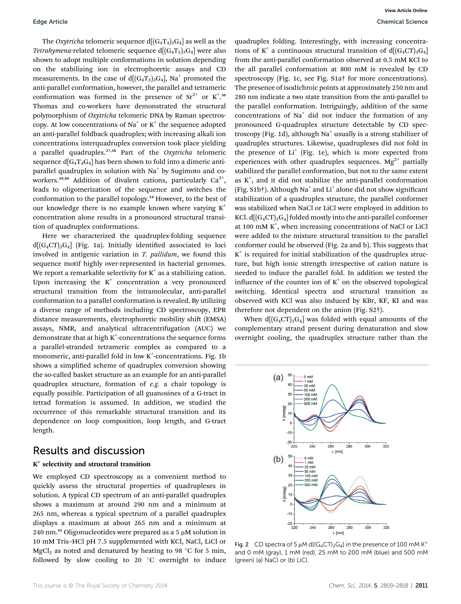The *Oxytricha* telomeric sequence  $d[(G_4T_4)_3G_4]$  as well as the *Tetrahymena-related telomeric sequence d* $[(G_4T_2)_3G_4]$  were also shown to adopt multiple conformations in solution depending on the stabilizing ion in electrophoretic assays and CD measurements. In the case of  $d[(G_4T_2)_3G_4]$ , Na<sup>+</sup> promoted the anti-parallel conformation, however, the parallel and tetrameric conformation was formed in the presence of  $Sr^{2+}$  or  $K^{+,36}$ Thomas and co-workers have demonstrated the structural polymorphism of Oxytricha telomeric DNA by Raman spectroscopy. At low concentrations of Na<sup>+</sup> or K<sup>+</sup> the sequence adopted an anti-parallel foldback quadruplex; with increasing alkali ion concentrations interquadruplex conversion took place yielding a parallel quadruplex.<sup>37,38</sup> Part of the Oxytricha telomeric sequence  $d[G_4T_4G_4]$  has been shown to fold into a dimeric antiparallel quadruplex in solution with  $Na<sup>+</sup>$  by Sugimoto and coworkers.<sup>39,40</sup> Addition of divalent cations, particularly  $Ca^{2+}$ , leads to oligomerization of the sequence and switches the conformation to the parallel topology.<sup>24</sup> However, to the best of our knowledge there is no example known where varying  $K^+$ concentration alone results in a pronounced structural transition of quadruplex conformations.

Here we characterized the quadruplex-folding sequence  $d[(G_4CT)_3G_4]$  (Fig. 1a). Initially identified associated to loci involved in antigenic variation in  $T.$   $pallidum$ , we found this sequence motif highly over-represented in bacterial genomes. We report a remarkable selectivity for  $K^+$  as a stabilizing cation. Upon increasing the  $K^+$  concentration a very pronounced structural transition from the intramolecular, anti-parallel conformation to a parallel conformation is revealed. By utilizing a diverse range of methods including CD spectroscopy, EPR distance measurements, electrophoretic mobility shift (EMSA) assays, NMR, and analytical ultracentrifugation (AUC) we demonstrate that at high  $K^+$ -concentrations the sequence forms a parallel-stranded tetrameric complex as compared to a monomeric, anti-parallel fold in low  $K^+$ -concentrations. Fig. 1b shows a simplified scheme of quadruplex conversion showing the so-called basket structure as an example for an anti-parallel quadruplex structure, formation of e.g. a chair topology is equally possible. Participation of all guanosines of a G-tract in tetrad formation is assumed. In addition, we studied the occurrence of this remarkable structural transition and its dependence on loop composition, loop length, and G-tract length.

### Results and discussion

#### $K^+$  selectivity and structural transition

We employed CD spectroscopy as a convenient method to quickly assess the structural properties of quadruplexes in solution. A typical CD spectrum of an anti-parallel quadruplex shows a maximum at around 290 nm and a minimum at 265 nm, whereas a typical spectrum of a parallel quadruplex displays a maximum at about 265 nm and a minimum at 240 nm.<sup>41</sup> Oligonucleotides were prepared as a 5  $\mu$ M solution in 10 mM Tris–HCl pH 7.5 supplemented with KCl, NaCl, LiCl or MgCl<sub>2</sub> as noted and denatured by heating to 98 °C for 5 min, followed by slow cooling to 20 $\degree$ C overnight to induce quadruplex folding. Interestingly, with increasing concentrations of K<sup>+</sup> a continuous structural transition of  $d[(G_4CT)_3G_4]$ from the anti-parallel conformation observed at 0.5 mM KCl to the all parallel conformation at 800 mM is revealed by CD spectroscopy (Fig. 1c, see Fig. S1a† for more concentrations). The presence of isodichroic points at approximately 250 nm and 280 nm indicate a two state transition from the anti-parallel to the parallel conformation. Intriguingly, addition of the same concentrations of  $Na<sup>+</sup>$  did not induce the formation of any pronounced G-quadruplex structure detectable by CD spectroscopy (Fig. 1d), although  $Na<sup>+</sup>$  usually is a strong stabilizer of quadruplex structures. Likewise, quadruplexes did not fold in the presence of  $Li<sup>+</sup>$  (Fig. 1e), which is more expected from experiences with other quadruplex sequences.  $Mg^{2+}$  partially stabilized the parallel conformation, but not to the same extent as  $K^+$ , and it did not stabilize the anti-parallel conformation (Fig. S1b†). Although Na<sup>+</sup> and Li<sup>+</sup> alone did not show significant stabilization of a quadruplex structure, the parallel conformer was stabilized when NaCl or LiCl were employed in addition to KCl.  $d[(G_4CT)_3G_4]$  folded mostly into the anti-parallel conformer at 100 mM K<sup>+</sup>, when increasing concentrations of NaCl or LiCl were added to the mixture structural transition to the parallel conformer could be observed (Fig. 2a and b). This suggests that  $K^+$  is required for initial stabilization of the quadruplex structure, but high ionic strength irrespective of cation nature is needed to induce the parallel fold. In addition we tested the influence of the counter ion of  $K^+$  on the observed topological switching. Identical spectra and structural transition as observed with KCl was also induced by KBr, KF, KI and was therefore not dependent on the anion (Fig. S2†).

When  $d[(G_4CT)_3G_4]$  was folded with equal amounts of the complementary strand present during denaturation and slow overnight cooling, the quadruplex structure rather than the



Fig. 2 CD spectra of 5  $\mu$ M d[(G<sub>4</sub>CT)<sub>3</sub>G<sub>4</sub>] in the presence of 100 mM K<sup>+</sup> and 0 mM (gray), 1 mM (red), 25 mM to 200 mM (blue) and 500 mM (green) (a) NaCl or (b) LiCl.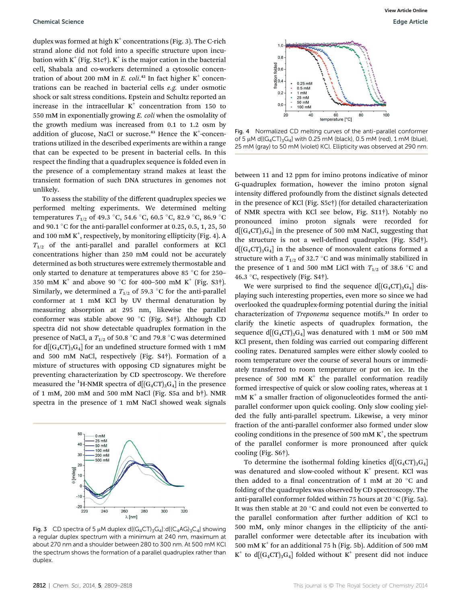duplex was formed at high  $K^+$  concentrations (Fig. 3). The C-rich strand alone did not fold into a specific structure upon incubation with  $K^+$  (Fig. S1c†).  $K^+$  is the major cation in the bacterial cell, Shabala and co-workers determined a cytosolic concentration of about 200 mM in E. coli.<sup>42</sup> In fact higher  $K^+$  concentrations can be reached in bacterial cells e.g. under osmotic shock or salt stress conditions. Epstein and Schultz reported an increase in the intracellular  $K^+$  concentration from 150 to 550 mM in exponentially growing E. coli when the osmolality of the growth medium was increased from 0.1 to 1.2 osm by addition of glucose, NaCl or sucrose. $43$  Hence the K<sup>+</sup>-concentrations utilized in the described experiments are within a range that can be expected to be present in bacterial cells. In this respect the finding that a quadruplex sequence is folded even in the presence of a complementary strand makes at least the transient formation of such DNA structures in genomes not unlikely.

To assess the stability of the different quadruplex species we performed melting experiments. We determined melting temperatures  $T_{1/2}$  of 49.3 °C, 54.6 °C, 60.5 °C, 82.9 °C, 86.9 °C and 90.1 °C for the anti-parallel conformer at 0.25, 0.5, 1, 25, 50 and 100 mM  $K^+$ , respectively, by monitoring ellipticity (Fig. 4). A  $T_{1/2}$  of the anti-parallel and parallel conformers at KCl concentrations higher than 250 mM could not be accurately determined as both structures were extremely thermostable and only started to denature at temperatures above 85  $^{\circ}$ C for 250– 350 mM K<sup>+</sup> and above 90 °C for 400-500 mM K<sup>+</sup> (Fig. S3<sup>†</sup>). Similarly, we determined a  $T_{1/2}$  of 59.3 °C for the anti-parallel conformer at 1 mM KCl by UV thermal denaturation by measuring absorption at 295 nm, likewise the parallel conformer was stable above 90 °C (Fig. S4†). Although CD spectra did not show detectable quadruplex formation in the presence of NaCl, a  $T_{1/2}$  of 50.8 °C and 79.8 °C was determined for  $d[(G_4CT)_3G_4]$  for an undefined structure formed with 1 mM and 500 mM NaCl, respectively (Fig. S4†). Formation of a mixture of structures with opposing CD signatures might be preventing characterization by CD spectroscopy. We therefore measured the <sup>1</sup>H-NMR spectra of d[(G<sub>4</sub>CT)<sub>3</sub>G<sub>4</sub>] in the presence of 1 mM, 200 mM and 500 mM NaCl (Fig. S5a and b†). NMR spectra in the presence of 1 mM NaCl showed weak signals



Fig. 3 CD spectra of 5  $\mu$ M duplex d[(G<sub>4</sub>CT)<sub>3</sub>G<sub>4</sub>]:d[(C<sub>4</sub>AG)<sub>3</sub>C<sub>4</sub>] showing a regular duplex spectrum with a minimum at 240 nm, maximum at about 270 nm and a shoulder between 280 to 300 nm. At 500 mM KCl the spectrum shows the formation of a parallel quadruplex rather than duplex.



Fig. 4 Normalized CD melting curves of the anti-parallel conformer of 5  $\mu$ M d[ $(G_4CT)$ <sub>3</sub> $G_4$ ] with 0.25 mM (black), 0.5 mM (red), 1 mM (blue), 25 mM (gray) to 50 mM (violet) KCl. Ellipticity was observed at 290 nm.

between 11 and 12 ppm for imino protons indicative of minor G-quadruplex formation, however the imino proton signal intensity differed profoundly from the distinct signals detected in the presence of KCl (Fig. S5c†) (for detailed characterization of NMR spectra with KCl see below, Fig. S11†). Notably no pronounced imino proton signals were recorded for  $d[(G_4CT)_3G_4]$  in the presence of 500 mM NaCl, suggesting that the structure is not a well-defined quadruplex (Fig.  $S5d<sup>+</sup>$ ).  $d[(G_4CT)_3G_4]$  in the absence of monovalent cations formed a structure with a  $T_{1/2}$  of 32.7 °C and was minimally stabilized in the presence of 1 and 500 mM LiCl with  $T_{1/2}$  of 38.6 °C and 46.3 °C, respectively (Fig.  $S4\dagger$ ).

We were surprised to find the sequence  $d[(G_4CT)_3G_4]$  displaying such interesting properties, even more so since we had overlooked the quadruplex-forming potential during the initial characterization of Treponema sequence motifs.<sup>21</sup> In order to clarify the kinetic aspects of quadruplex formation, the sequence  $d[(G_4CT)_3G_4]$  was denatured with 1 mM or 500 mM KCl present, then folding was carried out comparing different cooling rates. Denatured samples were either slowly cooled to room temperature over the course of several hours or immediately transferred to room temperature or put on ice. In the presence of 500 mM  $K^+$  the parallel conformation readily formed irrespective of quick or slow cooling rates, whereas at 1  $mM K<sup>+</sup>$  a smaller fraction of oligonucleotides formed the antiparallel conformer upon quick cooling. Only slow cooling yielded the fully anti-parallel spectrum. Likewise, a very minor fraction of the anti-parallel conformer also formed under slow cooling conditions in the presence of 500 mM  $K^+$ , the spectrum of the parallel conformer is more pronounced after quick cooling (Fig. S6†).

To determine the isothermal folding kinetics  $d[(G_4CT)_3G_4]$ was denatured and slow-cooled without  $K^+$  present. KCl was then added to a final concentration of 1 mM at 20  $\degree$ C and folding of the quadruplex was observed by CD spectroscopy. The anti-parallel conformer folded within 75 hours at 20  $\mathrm{^{\circ}C}$  (Fig. 5a). It was then stable at 20 $\degree$ C and could not even be converted to the parallel conformation after further addition of KCl to 500 mM, only minor changes in the ellipticity of the antiparallel conformer were detectable after its incubation with 500 mM  $K^+$  for an additional 75 h (Fig. 5b). Addition of 500 mM  $K^+$  to d[ $(G_4CT)_3G_4$ ] folded without  $K^+$  present did not induce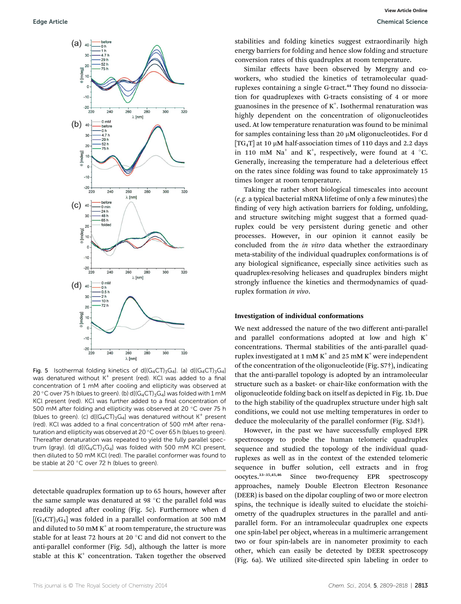

Fig. 5 Isothermal folding kinetics of d[ $(G_4CT)_{3}G_4$ ]. (a) d[ $(G_4CT)_{3}G_4$ ] was denatured without  $K^+$  present (red). KCl was added to a final concentration of 1 mM after cooling and ellipticity was observed at 20 °C over 75 h (blues to green). (b)  $d[(G_4CT)_3G_4]$  was folded with 1 mM KCl present (red). KCl was further added to a final concentration of 500 mM after folding and ellipticity was observed at 20 °C over 75 h (blues to green). (c) d[ $(G_4CT)_3G_4$ ] was denatured without K<sup>+</sup> present (red). KCl was added to a final concentration of 500 mM after renaturation and ellipticity was observed at 20 $\degree$ C over 65 h (blues to green). Thereafter denaturation was repeated to yield the fully parallel spectrum (gray). (d)  $d[(G_4CT)_3G_4]$  was folded with 500 mM KCl present, then diluted to 50 mM KCl (red). The parallel conformer was found to be stable at 20 $\degree$ C over 72 h (blues to green).

detectable quadruplex formation up to 65 hours, however after the same sample was denatured at 98  $^{\circ}$ C the parallel fold was readily adopted after cooling (Fig. 5c). Furthermore when d  $[(G_4CT)_3G_4]$  was folded in a parallel conformation at 500 mM and diluted to 50 mM  $K^+$  at room temperature, the structure was stable for at least 72 hours at 20 $\degree$ C and did not convert to the anti-parallel conformer (Fig. 5d), although the latter is more stable at this  $K^+$  concentration. Taken together the observed stabilities and folding kinetics suggest extraordinarily high energy barriers for folding and hence slow folding and structure conversion rates of this quadruplex at room temperature.

Similar effects have been observed by Mergny and coworkers, who studied the kinetics of tetramolecular quadruplexes containing a single G-tract.<sup>44</sup> They found no dissociation for quadruplexes with G-tracts consisting of 4 or more guanosines in the presence of  $K^{\scriptscriptstyle +}$ . Isothermal renaturation was highly dependent on the concentration of oligonucleotides used. At low temperature renaturation was found to be minimal for samples containing less than 20  $\mu$ M oligonucleotides. For d  $[TG_4T]$  at 10 µM half-association times of 110 days and 2.2 days in 110 mM Na<sup>+</sup> and K<sup>+</sup>, respectively, were found at 4  $^{\circ}$ C. Generally, increasing the temperature had a deleterious effect on the rates since folding was found to take approximately 15 times longer at room temperature.

Taking the rather short biological timescales into account (e.g. a typical bacterial mRNA lifetime of only a few minutes) the finding of very high activation barriers for folding, unfolding, and structure switching might suggest that a formed quadruplex could be very persistent during genetic and other processes. However, in our opinion it cannot easily be concluded from the in vitro data whether the extraordinary meta-stability of the individual quadruplex conformations is of any biological significance, especially since activities such as quadruplex-resolving helicases and quadruplex binders might strongly influence the kinetics and thermodynamics of quadruplex formation in vivo.

#### Investigation of individual conformations

We next addressed the nature of the two different anti-parallel and parallel conformations adopted at low and high  $K^+$ concentrations. Thermal stabilities of the anti-parallel quadruplex investigated at 1 mM  $K^+$  and 25 mM  $K^+$  were independent of the concentration of the oligonucleotide (Fig. S7†), indicating that the anti-parallel topology is adopted by an intramolecular structure such as a basket- or chair-like conformation with the oligonucleotide folding back on itself as depicted in Fig. 1b. Due to the high stability of the quadruplex structure under high salt conditions, we could not use melting temperatures in order to deduce the molecularity of the parallel conformer (Fig. S3d†).

However, in the past we have successfully employed EPR spectroscopy to probe the human telomeric quadruplex sequence and studied the topology of the individual quadruplexes as well as in the context of the extended telomeric sequence in buffer solution, cell extracts and in frog oocytes.<sup>33</sup>–35,45,46 Since two-frequency EPR spectroscopy approaches, namely Double Electron Electron Resonance (DEER) is based on the dipolar coupling of two or more electron spins, the technique is ideally suited to elucidate the stoichiometry of the quadruplex structures in the parallel and antiparallel form. For an intramolecular quadruplex one expects one spin-label per object, whereas in a multimeric arrangement two or four spin-labels are in nanometer proximity to each other, which can easily be detected by DEER spectroscopy (Fig. 6a). We utilized site-directed spin labeling in order to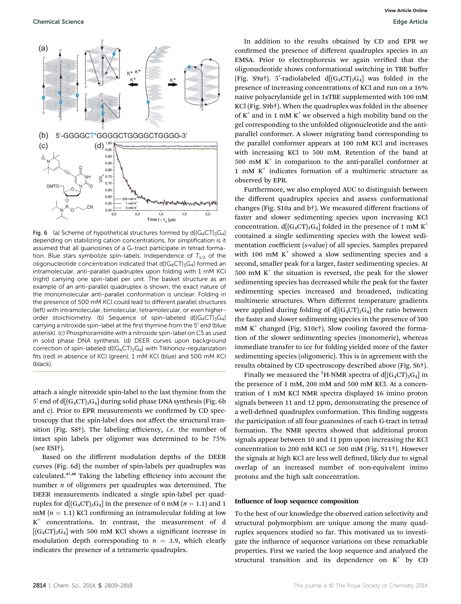

Fig. 6 (a) Scheme of hypothetical structures formed by  $d[(G_4CT)_3G_4]$ depending on stabilizing cation concentrations, for simplification is it assumed that all guanosines of a G-tract participate in tetrad formation. Blue stars symbolize spin-labels. Independence of  $T_{1/2}$  of the oligonucleotide concentration indicated that  $d[(G_4CT)_3G_4]$  formed an intramolecular, anti-parallel quadruplex upon folding with 1 mM KCl (right) carrying one spin-label per unit. The basket structure as an example of an anti-parallel quadruplex is shown; the exact nature of the monomolecular anti-parallel conformation is unclear. Folding in the presence of 500 mM KCl could lead to different parallel structures (left) with intramolecular, bimolecular, tetramolecular, or even higherorder stoichiometry. (b) Sequence of spin-labeled  $d[(G_4CT)_3G_4]$ carrying a nitroxide spin-label at the first thymine from the 5' end (blue asterisk). (c) Phosphoramidite with a nitroxide spin-label on C5 as used in solid phase DNA synthesis. (d) DEER curves upon background correction of spin-labeled  $d[(G_4CT)_3G_4]$  with Tikhonov-regularization fits (red) in absence of KCl (green), 1 mM KCl (blue) and 500 mM KCl (black).

attach a single nitroxide spin-label to the last thymine from the 5' end of d $[(G_4CT)_3G_4]$  during solid phase DNA synthesis (Fig. 6b) and c). Prior to EPR measurements we confirmed by CD spectroscopy that the spin-label does not affect the structural transition (Fig. S8†). The labeling efficiency, *i.e.* the number of intact spin labels per oligomer was determined to be 75% (see ESI†).

Based on the different modulation depths of the DEER curves (Fig. 6d) the number of spin-labels per quadruplex was calculated.47,48 Taking the labeling efficiency into account the number  $n$  of oligomers per quadruplex was determined. The DEER measurements indicated a single spin-label per quadruplex for  $d[(G_4CT)_3G_4]$  in the presence of 0 mM  $(n = 1.1)$  and 1  $mM (n = 1.1)$  KCl confirming an intramolecular folding at low  $K^+$  concentrations. In contrast, the measurement of d  $[(G_4CT)_3G_4]$  with 500 mM KCl shows a significant increase in modulation depth corresponding to  $n = 3.9$ , which clearly indicates the presence of a tetrameric quadruplex.

In addition to the results obtained by CD and EPR we confirmed the presence of different quadruplex species in an EMSA. Prior to electrophoresis we again verified that the oligonucleotide shows conformational switching in TBE buffer (Fig. S9a†). 5'-radiolabeled d[ $(G_4CT)_3G_4$ ] was folded in the presence of increasing concentrations of KCl and run on a 16% native polyacrylamide gel in 1xTBE supplemented with 100 mM KCl (Fig. S9b†). When the quadruplex was folded in the absence of  $K^+$  and in 1 mM  $K^+$  we observed a high mobility band on the gel corresponding to the unfolded oligonucleotide and the antiparallel conformer. A slower migrating band corresponding to the parallel conformer appears at 100 mM KCl and increases with increasing KCl to 500 mM. Retention of the band at 500 mM  $K^+$  in comparison to the anti-parallel conformer at 1 mM  $K^+$  indicates formation of a multimeric structure as observed by EPR.

Furthermore, we also employed AUC to distinguish between the different quadruplex species and assess conformational changes (Fig. S10a and b†). We measured different fractions of faster and slower sedimenting species upon increasing KCl concentration.  $d[(G_4CT)_3G_4]$  folded in the presence of 1 mM K<sup>+</sup> contained a single sedimenting species with the lowest sedimentation coefficient (s-value) of all species. Samples prepared with 100 mM  $K^+$  showed a slow sedimenting species and a second, smaller peak for a larger, faster sedimenting species. At 500 mM  $K^+$  the situation is reversed, the peak for the slower sedimenting species has decreased while the peak for the faster sedimenting species increased and broadened, indicating multimeric structures. When different temperature gradients were applied during folding of  $d[(G_4CT)_3G_4]$  the ratio between the faster and slower sedimenting species in the presence of 500 mM  $K^+$  changed (Fig. S10c†). Slow cooling favored the formation of the slower sedimenting species (monomeric), whereas immediate transfer to ice for folding yielded more of the faster sedimenting species (oligomeric). This is in agreement with the results obtained by CD spectroscopy described above (Fig. S6†).

Finally we measured the <sup>1</sup>H-NMR spectra of d[ $(G_4CT)_3G_4$ ] in the presence of 1 mM, 200 mM and 500 mM KCl. At a concentration of 1 mM KCl NMR spectra displayed 16 imino proton signals between 11 and 12 ppm, demonstrating the presence of a well-defined quadruplex conformation. This finding suggests the participation of all four guanosines of each G-tract in tetrad formation. The NMR spectra showed that additional proton signals appear between 10 and 11 ppm upon increasing the KCl concentration to 200 mM KCl or 500 mM (Fig. S11†). However the signals at high KCl are less well defined, likely due to signal overlap of an increased number of non-equivalent imino protons and the high salt concentration.

#### Influence of loop sequence composition

To the best of our knowledge the observed cation selectivity and structural polymorphism are unique among the many quadruplex sequences studied so far. This motivated us to investigate the influence of sequence variations on these remarkable properties. First we varied the loop sequence and analyzed the structural transition and its dependence on  $K^+$  by CD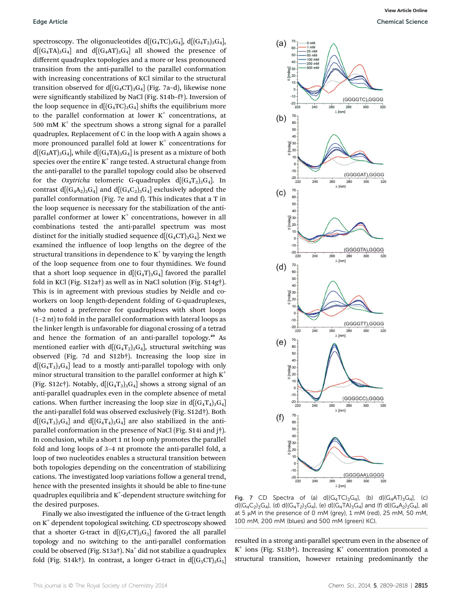spectroscopy. The oligonucleotides  $d[(G_4TC)_3G_4]$ ,  $d[(G_4T_2)_3G_4]$ ,  $d[(G_4TA)_3G_4]$  and  $d[(G_4AT)_3G_4]$  all showed the presence of different quadruplex topologies and a more or less pronounced transition from the anti-parallel to the parallel conformation with increasing concentrations of KCl similar to the structural transition observed for  $d[(G_4CT)_3G_4]$  (Fig. 7a–d), likewise none were significantly stabilized by NaCl (Fig. S14b-f†). Inversion of the loop sequence in  $d[(G_4TC)_3G_4]$  shifts the equilibrium more to the parallel conformation at lower  $K^+$  concentrations, at 500 mM  $K^+$  the spectrum shows a strong signal for a parallel quadruplex. Replacement of C in the loop with A again shows a more pronounced parallel fold at lower  $K^+$  concentrations for  $d[(G_4AT)_3G_4]$ , while  $d[(G_4TA)_3G_4]$  is present as a mixture of both species over the entire  $K^+$  range tested. A structural change from the anti-parallel to the parallel topology could also be observed for the *Oxytricha* telomeric G-quadruplex  $d[(G_4T_2)_3G_4]$ . In contrast  $d[(G_4A_2)_3G_4]$  and  $d[(G_4C_2)_3G_4]$  exclusively adopted the parallel conformation (Fig. 7e and f). This indicates that a T in the loop sequence is necessary for the stabilization of the antiparallel conformer at lower  $K^+$  concentrations, however in all combinations tested the anti-parallel spectrum was most distinct for the initially studied sequence  $d[(G_4CT)_3G_4]$ . Next we examined the influence of loop lengths on the degree of the structural transitions in dependence to  $K^+$  by varying the length of the loop sequence from one to four thymidines. We found that a short loop sequence in  $d[(G_4T)_3G_4]$  favored the parallel fold in KCl (Fig. S12a†) as well as in NaCl solution (Fig. S14g†). This is in agreement with previous studies by Neidle and coworkers on loop length-dependent folding of G-quadruplexes, who noted a preference for quadruplexes with short loops (1–2 nt) to fold in the parallel conformation with lateral loops as the linker length is unfavorable for diagonal crossing of a tetrad and hence the formation of an anti-parallel topology.<sup>49</sup> As mentioned earlier with  $d[(G_4T_2)_3G_4]$ , structural switching was observed (Fig. 7d and S12b†). Increasing the loop size in  $d[(G_4T_3)_3G_4]$  lead to a mostly anti-parallel topology with only minor structural transition to the parallel conformer at high  $K^+$ (Fig. S12c†). Notably,  $d[(G_4T_3)_3G_4]$  shows a strong signal of an anti-parallel quadruplex even in the complete absence of metal cations. When further increasing the loop size in  $d[(G_4T_4)_3G_4]$ the anti-parallel fold was observed exclusively (Fig. S12d†). Both  $d[(G_4T_3)_3G_4]$  and  $d[(G_4T_4)_3G_4]$  are also stabilized in the antiparallel conformation in the presence of NaCl (Fig. S14i and j†). In conclusion, while a short 1 nt loop only promotes the parallel fold and long loops of 3–4 nt promote the anti-parallel fold, a loop of two nucleotides enables a structural transition between both topologies depending on the concentration of stabilizing cations. The investigated loop variations follow a general trend, hence with the presented insights it should be able to fine-tune quadruplex equilibria and  $\text{K}^\text{+}$ -dependent structure switching for the desired purposes.

Finally we also investigated the influence of the G-tract length on  $K^+$  dependent topological switching. CD spectroscopy showed that a shorter G-tract in  $d[(G_3CT)_3G_3]$  favored the all parallel topology and no switching to the anti-parallel conformation could be observed (Fig. S13a†). Na<sup>+</sup> did not stabilize a quadruplex fold (Fig. S14k†). In contrast, a longer G-tract in  $d[(G_5CT)_3G_5]$ 



Fig. 7 CD Spectra of (a)  $d[(G_4TC)_3G_4]$ , (b)  $d[(G_4AT)_3G_4]$ , (c)  $d[(G_4C_2)_3G_4]$ , (d)  $d[(G_4T_2)_3G_4]$ , (e)  $d[(G_4T A)_3G_4]$  and (f)  $d[(G_4A_2)_3G_4]$ , all at 5  $\mu$ M in the presence of 0 mM (grey), 1 mM (red), 25 mM, 50 mM, 100 mM, 200 mM (blues) and 500 mM (green) KCl.

resulted in a strong anti-parallel spectrum even in the absence of  $K^+$  ions (Fig. S13b†). Increasing  $K^+$  concentration promoted a structural transition, however retaining predominantly the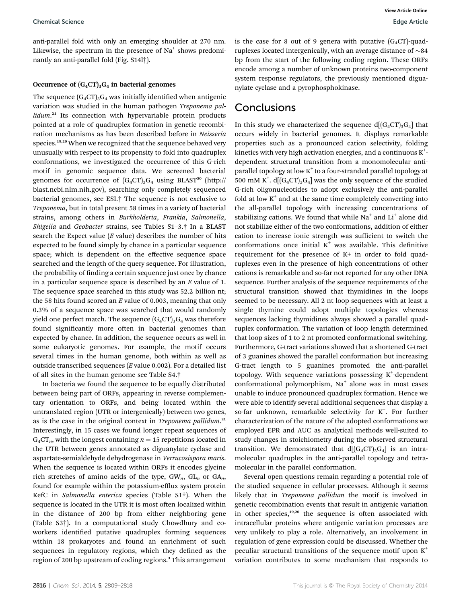anti-parallel fold with only an emerging shoulder at 270 nm. Likewise, the spectrum in the presence of Na<sup>+</sup> shows predominantly an anti-parallel fold (Fig. S14l†).

#### Occurrence of  $(G_4CT)_3G_4$  in bacterial genomes

The sequence  $(G_4CT)_3G_4$  was initially identified when antigenic variation was studied in the human pathogen Treponema pallidum.<sup>21</sup> Its connection with hypervariable protein products pointed at a role of quadruplex formation in genetic recombination mechanisms as has been described before in Neisseria species.<sup>19,20</sup> When we recognized that the sequence behaved very unusually with respect to its propensity to fold into quadruplex conformations, we investigated the occurrence of this G-rich motif in genomic sequence data. We screened bacterial genomes for occurrence of  $(G_4CT)_3G_4$  using BLAST<sup>50</sup> (http:// blast.ncbi.nlm.nih.gov), searching only completely sequenced bacterial genomes, see ESI.† The sequence is not exclusive to Treponema, but in total present 58 times in a variety of bacterial strains, among others in Burkholderia, Frankia, Salmonella, Shigella and Geobacter strains, see Tables S1–3.† In a BLAST search the Expect value  $(E \text{ value})$  describes the number of hits expected to be found simply by chance in a particular sequence space; which is dependent on the effective sequence space searched and the length of the query sequence. For illustration, the probability of finding a certain sequence just once by chance in a particular sequence space is described by an  $E$  value of 1. The sequence space searched in this study was 52.2 billion nt; the 58 hits found scored an  $E$  value of 0.003, meaning that only 0.3% of a sequence space was searched that would randomly yield one perfect match. The sequence  $(G_4CT)_3G_4$  was therefore found significantly more often in bacterial genomes than expected by chance. In addition, the sequence occurs as well in some eukaryotic genomes. For example, the motif occurs several times in the human genome, both within as well as outside transcribed sequences (E value 0.002). For a detailed list of all sites in the human genome see Table S4.†

In bacteria we found the sequence to be equally distributed between being part of ORFs, appearing in reverse complementary orientation to ORFs, and being located within the untranslated region (UTR or intergenically) between two genes, as is the case in the original context in Treponema pallidum.<sup>21</sup> Interestingly, in 15 cases we found longer repeat sequences of  $G_4CT_n$ , with the longest containing  $n = 15$  repetitions located in the UTR between genes annotated as diguanylate cyclase and aspartate-semialdehyde dehydrogenase in Verrucosispora maris. When the sequence is located within ORFs it encodes glycine rich stretches of amino acids of the type,  $GW_n$ ,  $GL_n$  or  $GA_n$ , found for example within the potassium-efflux system protein KefC in Salmonella enterica species (Table S1†). When the sequence is located in the UTR it is most often localized within in the distance of 200 bp from either neighboring gene (Table S3†). In a computational study Chowdhury and coworkers identified putative quadruplex forming sequences within 18 prokaryotes and found an enrichment of such sequences in regulatory regions, which they defined as the region of 200 bp upstream of coding regions.<sup>3</sup> This arrangement is the case for 8 out of 9 genera with putative  $(G_4CT)$ -quadruplexes located intergenically, with an average distance of  $\sim$ 84 bp from the start of the following coding region. These ORFs encode among a number of unknown proteins two-component system response regulators, the previously mentioned diguanylate cyclase and a pyrophosphokinase.

### **Conclusions**

In this study we characterized the sequence  $d[(G_4CT)_3G_4]$  that occurs widely in bacterial genomes. It displays remarkable properties such as a pronounced cation selectivity, folding kinetics with very high activation energies, and a continuous  $K^+$ dependent structural transition from a monomolecular antiparallel topology at low  $K^+$  to a four-stranded parallel topology at 500 mM K<sup>+</sup>. d[ $(G_4CT)_3G_4$ ] was the only sequence of the studied G-rich oligonucleotides to adopt exclusively the anti-parallel fold at low  $K^+$  and at the same time completely converting into the all-parallel topology with increasing concentrations of stabilizing cations. We found that while  $Na<sup>+</sup>$  and  $Li<sup>+</sup>$  alone did not stabilize either of the two conformations, addition of either cation to increase ionic strength was sufficient to switch the conformations once initial  $K^+$  was available. This definitive requirement for the presence of K+ in order to fold quadruplexes even in the presence of high concentrations of other cations is remarkable and so-far not reported for any other DNA sequence. Further analysis of the sequence requirements of the structural transition showed that thymidines in the loops seemed to be necessary. All 2 nt loop sequences with at least a single thymine could adopt multiple topologies whereas sequences lacking thymidines always showed a parallel quadruplex conformation. The variation of loop length determined that loop sizes of 1 to 2 nt promoted conformational switching. Furthermore, G-tract variations showed that a shortened G-tract of 3 guanines showed the parallel conformation but increasing G-tract length to 5 guanines promoted the anti-parallel topology. With sequence variations possessing K<sup>+</sup>-dependent conformational polymorphism,  $Na<sup>+</sup>$  alone was in most cases unable to induce pronounced quadruplex formation. Hence we were able to identify several additional sequences that display a so-far unknown, remarkable selectivity for K<sup>+</sup>. For further characterization of the nature of the adopted conformations we employed EPR and AUC as analytical methods well-suited to study changes in stoichiometry during the observed structural transition. We demonstrated that  $d[(G_4CT)_3G_4]$  is an intramolecular quadruplex in the anti-parallel topology and tetramolecular in the parallel conformation.

Several open questions remain regarding a potential role of the studied sequence in cellular processes. Although it seems likely that in *Treponema pallidum* the motif is involved in genetic recombination events that result in antigenic variation in other species, $19,20$  the sequence is often associated with intracellular proteins where antigenic variation processes are very unlikely to play a role. Alternatively, an involvement in regulation of gene expression could be discussed. Whether the peculiar structural transitions of the sequence motif upon  $K^+$ variation contributes to some mechanism that responds to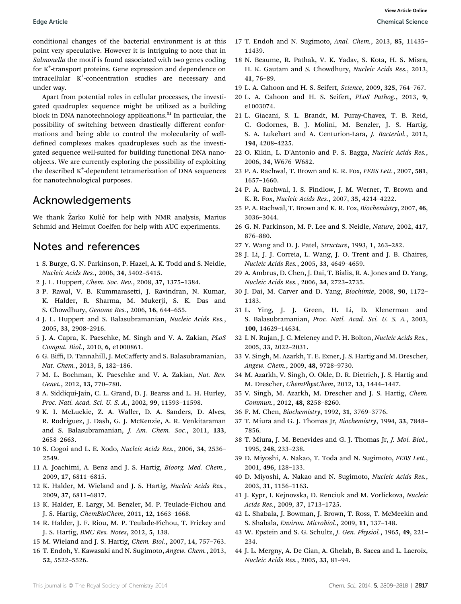conditional changes of the bacterial environment is at this point very speculative. However it is intriguing to note that in Salmonella the motif is found associated with two genes coding for K<sup>+</sup> -transport proteins. Gene expression and dependence on intracellular K<sup>+</sup> -concentration studies are necessary and under way.

Apart from potential roles in cellular processes, the investigated quadruplex sequence might be utilized as a building block in DNA nanotechnology applications.<sup>51</sup> In particular, the possibility of switching between drastically different conformations and being able to control the molecularity of welldefined complexes makes quadruplexes such as the investigated sequence well-suited for building functional DNA nanoobjects. We are currently exploring the possibility of exploiting the described K<sup>+</sup> -dependent tetramerization of DNA sequences for nanotechnological purposes.

### Acknowledgements

We thank Žarko Kulić for help with NMR analysis, Marius Schmid and Helmut Coelfen for help with AUC experiments.

## Notes and references

- 1 S. Burge, G. N. Parkinson, P. Hazel, A. K. Todd and S. Neidle, Nucleic Acids Res., 2006, 34, 5402–5415.
- 2 J. L. Huppert, Chem. Soc. Rev., 2008, 37, 1375–1384.
- 3 P. Rawal, V. B. Kummarasetti, J. Ravindran, N. Kumar, K. Halder, R. Sharma, M. Mukerji, S. K. Das and S. Chowdhury, Genome Res., 2006, 16, 644–655.
- 4 J. L. Huppert and S. Balasubramanian, Nucleic Acids Res., 2005, 33, 2908–2916.
- 5 J. A. Capra, K. Paeschke, M. Singh and V. A. Zakian, PLoS Comput. Biol., 2010, 6, e1000861.
- 6 G. Biffi, D. Tannahill, J. McCafferty and S. Balasubramanian, Nat. Chem., 2013, 5, 182–186.
- 7 M. L. Bochman, K. Paeschke and V. A. Zakian, Nat. Rev. Genet., 2012, 13, 770–780.
- 8 A. Siddiqui-Jain, C. L. Grand, D. J. Bearss and L. H. Hurley, Proc. Natl. Acad. Sci. U. S. A., 2002, 99, 11593–11598.
- 9 K. I. McLuckie, Z. A. Waller, D. A. Sanders, D. Alves, R. Rodriguez, J. Dash, G. J. McKenzie, A. R. Venkitaraman and S. Balasubramanian, J. Am. Chem. Soc., 2011, 133, 2658–2663.
- 10 S. Cogoi and L. E. Xodo, Nucleic Acids Res., 2006, 34, 2536– 2549.
- 11 A. Joachimi, A. Benz and J. S. Hartig, Bioorg. Med. Chem., 2009, 17, 6811–6815.
- 12 K. Halder, M. Wieland and J. S. Hartig, Nucleic Acids Res., 2009, 37, 6811–6817.
- 13 K. Halder, E. Largy, M. Benzler, M. P. Teulade-Fichou and J. S. Hartig, ChemBioChem, 2011, 12, 1663–1668.
- 14 R. Halder, J. F. Riou, M. P. Teulade-Fichou, T. Frickey and J. S. Hartig, BMC Res. Notes, 2012, 5, 138.
- 15 M. Wieland and J. S. Hartig, Chem. Biol., 2007, 14, 757–763.
- 16 T. Endoh, Y. Kawasaki and N. Sugimoto, Angew. Chem., 2013, 52, 5522–5526.
- 17 T. Endoh and N. Sugimoto, Anal. Chem., 2013, 85, 11435– 11439.
- 18 N. Beaume, R. Pathak, V. K. Yadav, S. Kota, H. S. Misra, H. K. Gautam and S. Chowdhury, Nucleic Acids Res., 2013, 41, 76–89.
- 19 L. A. Cahoon and H. S. Seifert, Science, 2009, 325, 764–767.
- 20 L. A. Cahoon and H. S. Seifert, PLoS Pathog., 2013, 9, e1003074.
- 21 L. Giacani, S. L. Brandt, M. Puray-Chavez, T. B. Reid, C. Godornes, B. J. Molini, M. Benzler, J. S. Hartig, S. A. Lukehart and A. Centurion-Lara, J. Bacteriol., 2012, 194, 4208–4225.
- 22 O. Kikin, L. D'Antonio and P. S. Bagga, Nucleic Acids Res., 2006, 34, W676–W682.
- 23 P. A. Rachwal, T. Brown and K. R. Fox, FEBS Lett., 2007, 581, 1657–1660.
- 24 P. A. Rachwal, I. S. Findlow, J. M. Werner, T. Brown and K. R. Fox, Nucleic Acids Res., 2007, 35, 4214–4222.
- 25 P. A. Rachwal, T. Brown and K. R. Fox, Biochemistry, 2007, 46, 3036–3044.
- 26 G. N. Parkinson, M. P. Lee and S. Neidle, Nature, 2002, 417, 876–880.
- 27 Y. Wang and D. J. Patel, Structure, 1993, 1, 263–282.
- 28 J. Li, J. J. Correia, L. Wang, J. O. Trent and J. B. Chaires, Nucleic Acids Res., 2005, 33, 4649–4659.
- 29 A. Ambrus, D. Chen, J. Dai, T. Bialis, R. A. Jones and D. Yang, Nucleic Acids Res., 2006, 34, 2723–2735.
- 30 J. Dai, M. Carver and D. Yang, Biochimie, 2008, 90, 1172– 1183.
- 31 L. Ying, J. J. Green, H. Li, D. Klenerman and S. Balasubramanian, Proc. Natl. Acad. Sci. U. S. A., 2003, 100, 14629–14634.
- 32 I. N. Rujan, J. C. Meleney and P. H. Bolton, Nucleic Acids Res., 2005, 33, 2022–2031.
- 33 V. Singh, M. Azarkh, T. E. Exner, J. S. Hartig and M. Drescher, Angew. Chem., 2009, 48, 9728–9730.
- 34 M. Azarkh, V. Singh, O. Okle, D. R. Dietrich, J. S. Hartig and M. Drescher, ChemPhysChem, 2012, 13, 1444–1447.
- 35 V. Singh, M. Azarkh, M. Drescher and J. S. Hartig, Chem. Commun., 2012, 48, 8258–8260.
- 36 F. M. Chen, Biochemistry, 1992, 31, 3769–3776.
- 37 T. Miura and G. J. Thomas Jr, Biochemistry, 1994, 33, 7848– 7856.
- 38 T. Miura, J. M. Benevides and G. J. Thomas Jr, J. Mol. Biol., 1995, 248, 233–238.
- 39 D. Miyoshi, A. Nakao, T. Toda and N. Sugimoto, FEBS Lett., 2001, 496, 128–133.
- 40 D. Miyoshi, A. Nakao and N. Sugimoto, Nucleic Acids Res., 2003, 31, 1156–1163.
- 41 J. Kypr, I. Kejnovska, D. Renciuk and M. Vorlickova, Nucleic Acids Res., 2009, 37, 1713–1725.
- 42 L. Shabala, J. Bowman, J. Brown, T. Ross, T. McMeekin and S. Shabala, Environ. Microbiol., 2009, 11, 137–148.
- 43 W. Epstein and S. G. Schultz, J. Gen. Physiol., 1965, 49, 221– 234.
- 44 J. L. Mergny, A. De Cian, A. Ghelab, B. Sacca and L. Lacroix, Nucleic Acids Res., 2005, 33, 81–94.